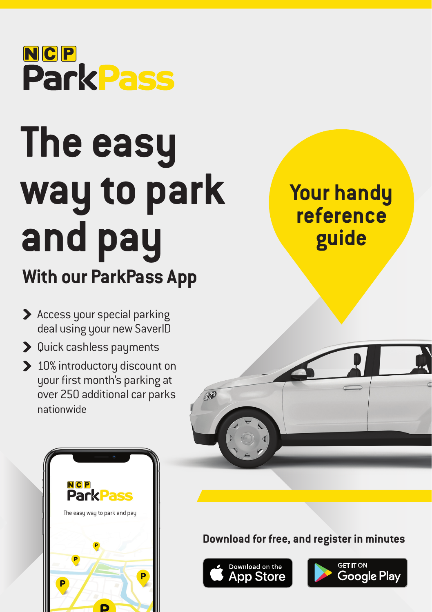

# **The easy way to park and pay**

# **With our ParkPass App**

- > Access your special parking deal using your new SaverID
- > Quick cashless payments
- 10% introductory discount on your first month's parking at over 250 additional car parks nationwide







**Download for free, and register in minutes**



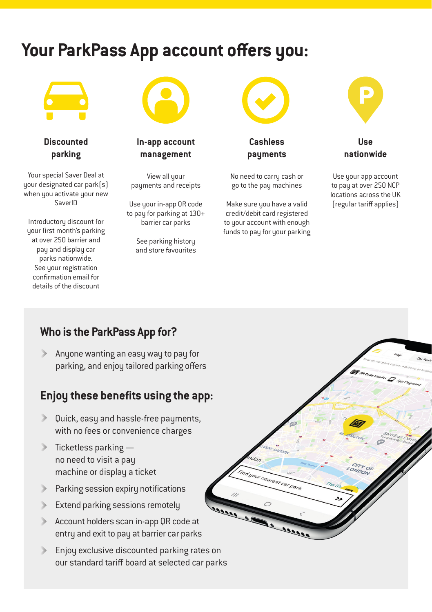## **Your ParkPass App account offers you:**



**Discounted parking**

Your special Saver Deal at your designated car park(s) when you activate your new SaverID

Introductory discount for your first month's parking at over 250 barrier and pay and display car parks nationwide. See your registration confirmation email for details of the discount



**In-app account management** 

View all your payments and receipts

Use your in-app QR code to pay for parking at 130+ barrier car parks

> See parking history and store favourites



**Cashless payments**

No need to carry cash or go to the pay machines

Make sure you have a valid credit/debit card registered to your account with enough funds to pay for your parking

nearest car park



**Use nationwide**

Use your app account to pay at over 250 NCP locations across the UK (regular tariff applies)

#### **Who is the ParkPass App for?**

Anyone wanting an easy way to pay for parking, and enjoy tailored parking offers

#### **Enjoy these benefits using the app:**

- Quick, easy and hassle-free payments, with no fees or convenience charges
- $\triangleright$  Ticketless parking  $$ no need to visit a pay machine or display a ticket
- Parking session expiry notifications
- Extend parking sessions remotely  $\rightarrow$
- Account holders scan in-app QR code at entry and exit to pay at barrier car parks
- Enjoy exclusive discounted parking rates on our standard tariff board at selected car parks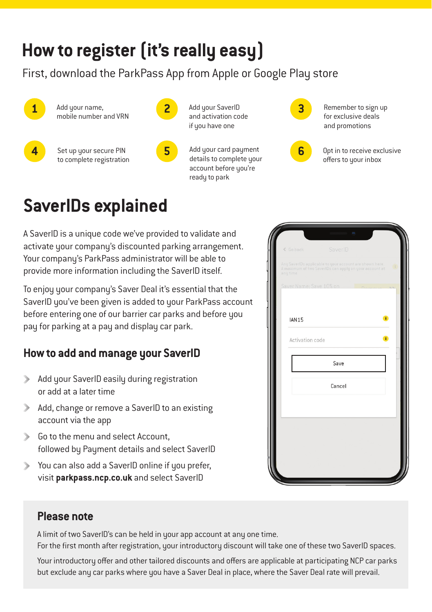## **How to register (it's really easy)**

First, download the ParkPass App from Apple or Google Play store



Add your name. mobile number and VRN **1** Add your name, **2** Add your SaverID **3** Remember to sign up

**4** Set up your secure PIN **5** Add your card payment to complete registration



Add your SaverID and activation code if you have one

details to complete your account before you're readu to park



Add your card payment **6 6** Opt in to receive exclusive offers to your inbox

# **SaverIDs explained**

A SaverID is a unique code we've provided to validate and activate your company's discounted parking arrangement. Your company's ParkPass administrator will be able to provide more information including the SaverID itself.

To enjoy your company's Saver Deal it's essential that the SaverID you've been given is added to your ParkPass account before entering one of our barrier car parks and before you pay for parking at a pay and display car park.

#### **How to add and manage your SaverID**

- Add your SaverID easily during registration or add at a later time
- Add, change or remove a SaverID to an existing account via the app
- Go to the menu and select Account. followed by Payment details and select SaverID
- You can also add a SaverID online if you prefer, visit **parkpass.ncp.co.uk** and select SaverID



#### **Please note**

A limit of two SaverID's can be held in your app account at any one time. For the first month after registration, your introductory discount will take one of these two SaverID spaces.

Your introductory offer and other tailored discounts and offers are applicable at participating NCP car parks but exclude any car parks where you have a Saver Deal in place, where the Saver Deal rate will prevail.